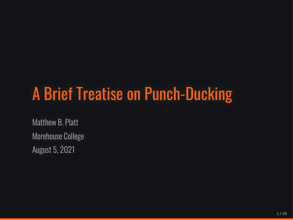# A Brief Treatise on Punch-Ducking

Matthew B. Platt Morehouse College August 5, 2021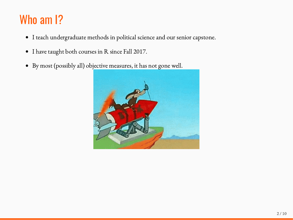# Who am I?

- I teach undergraduate methods in political science and our senior capstone.
- I have taught both courses in R since Fall 2017.
- By most (possibly all) objective measures, it has not gone well.  $\bullet$

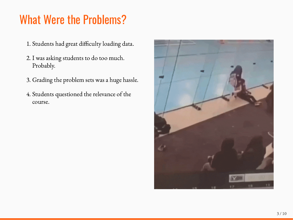## What Were the Problems?

- 1. Students had great difficulty loading data.
- 2. I was asking students to do too much. Probably.
- 3. Grading the problem sets was a huge hassle.
- 4. Students questioned the relevance of the course.

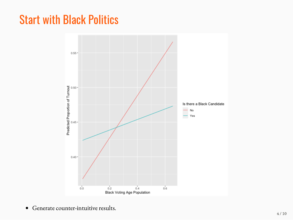#### Start with Black Politics



Generate counter-intuitive results.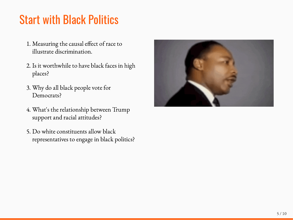# Start with Black Politics

- 1. Measuring the causal effect of race to illustrate discrimination.
- 2. Is it worthwhile to have black faces in high places?
- 3. Why do all black people vote for Democrats?
- 4. What's the relationship between Trump support and racial attitudes?
- 5. Do white constituents allow black representatives to engage in black politics?

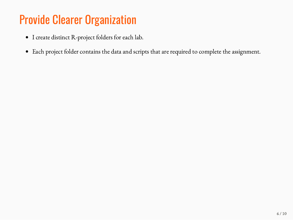# Provide Clearer Organization

- I create distinct R-project folders for each lab.
- Each project folder contains the data and scripts that are required to complete the assignment.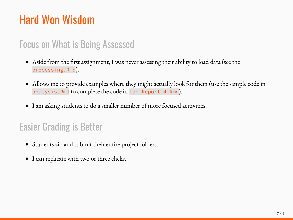# Hard Won Wisdom

#### Focus on What is Being Assessed

- Aside from the first assignment, I was never assessing their ability to load data (see the  $\bullet$ processing.Rmd).
- Allows me to provide examples where they might actually look for them (use the sample code in  $\bullet$ analysis.Rmd to complete the code in Lab Report 4.Rmd).
- I am asking students to do a smaller number of more focused acitivities.  $\bullet$

#### Easier Grading is Better

- Students zip and submit their entire project folders.  $\bullet$
- I can replicate with two or three clicks.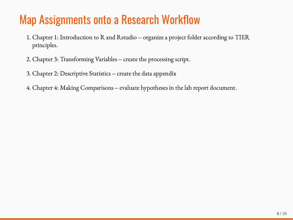## Map Assignments onto a Research Workflow

- 1. Chapter 1: Introduction to R and Rstudio -- organize a project folder according to TIER principles.
- 2. Chapter 3: Transforming Variables -- create the processing script.
- 3. Chapter 2: Descriptive Statistics -- create the data appendix
- 4. Chapter 4: Making Comparisons -- evaluate hypotheses in the lab report document.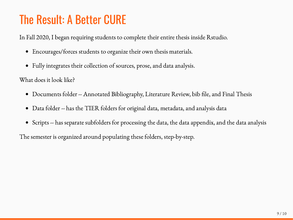## The Result: A Better CURE

In Fall 2020, I began requiring students to complete their entire thesis inside Rstudio.

- Encourages/forces students to organize their own thesis materials.
- Fully integrates their collection of sources, prose, and data analysis.  $\bullet$

What does it look like?

- Documents folder -- Annotated Bibliography, Literature Review, bib file, and Final Thesis  $\bullet$
- Data folder -- has the TIER folders for original data, metadata, and analysis data  $\bullet$
- Scripts -- has separate subfolders for processing the data, the data appendix, and the data analysis  $\bullet$

The semester is organized around populating these folders, step-by-step.